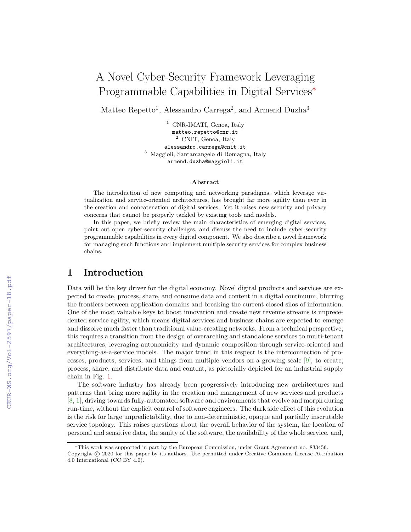# A Novel Cyber-Security Framework Leveraging Programmable Capabilities in Digital Services<sup>∗</sup>

Matteo Repetto<sup>1</sup>, Alessandro Carrega<sup>2</sup>, and Armend Duzha<sup>3</sup>

<sup>1</sup> CNR-IMATI, Genoa, Italy matteo.repetto@cnr.it <sup>2</sup> CNIT, Genoa, Italy alessandro.carrega@cnit.it <sup>3</sup> Maggioli, Santarcangelo di Romagna, Italy armend.duzha@maggioli.it

#### Abstract

The introduction of new computing and networking paradigms, which leverage virtualization and service-oriented architectures, has brought far more agility than ever in the creation and concatenation of digital services. Yet it raises new security and privacy concerns that cannot be properly tackled by existing tools and models.

In this paper, we briefly review the main characteristics of emerging digital services, point out open cyber-security challenges, and discuss the need to include cyber-security programmable capabilities in every digital component. We also describe a novel framework for managing such functions and implement multiple security services for complex business chains.

### 1 Introduction

Data will be the key driver for the digital economy. Novel digital products and services are expected to create, process, share, and consume data and content in a digital continuum, blurring the frontiers between application domains and breaking the current closed silos of information. One of the most valuable keys to boost innovation and create new revenue streams is unprecedented service agility, which means digital services and business chains are expected to emerge and dissolve much faster than traditional value-creating networks. From a technical perspective, this requires a transition from the design of overarching and standalone services to multi-tenant architectures, leveraging autonomicity and dynamic composition through service-oriented and everything-as-a-service models. The major trend in this respect is the interconnection of processes, products, services, and things from multiple vendors on a growing scale [\[9\]](#page--1-0), to create, process, share, and distribute data and content, as pictorially depicted for an industrial supply chain in Fig. [1.](#page--1-1)

The software industry has already been progressively introducing new architectures and patterns that bring more agility in the creation and management of new services and products [\[8,](#page--1-2) [1\]](#page--1-3), driving towards fully-automated software and environments that evolve and morph during run-time, without the explicit control of software engineers. The dark side effect of this evolution is the risk for large unpredictability, due to non-deterministic, opaque and partially inscrutable service topology. This raises questions about the overall behavior of the system, the location of personal and sensitive data, the sanity of the software, the availability of the whole service, and,

<sup>∗</sup>This work was supported in part by the European Commission, under Grant Agreement no. 833456. Copyright © 2020 for this paper by its authors. Use permitted under Creative Commons License Attribution 4.0 International (CC BY 4.0).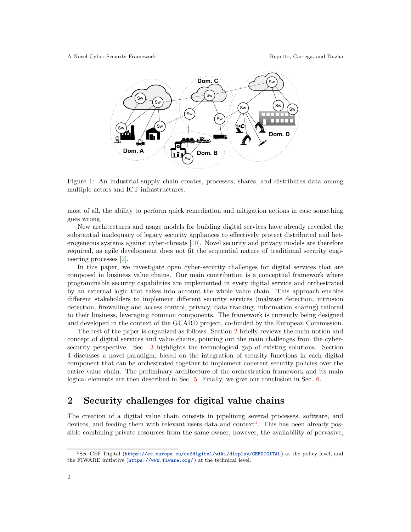

Figure 1: An industrial supply chain creates, processes, shares, and distributes data among multiple actors and ICT infrastructures.

most of all, the ability to perform quick remediation and mitigation actions in case something goes wrong.

New architectures and usage models for building digital services have already revealed the substantial inadequacy of legacy security appliances to effectively protect distributed and heterogeneous systems against cyber-threats [\[10\]](#page-10-0). Novel security and privacy models are therefore required, as agile development does not fit the sequential nature of traditional security engineering processes [\[2\]](#page-10-1).

In this paper, we investigate open cyber-security challenges for digital services that are composed in business value chains. Our main contribution is a conceptual framework where programmable security capabilities are implemented in every digital service and orchestrated by an external logic that takes into account the whole value chain. This approach enables different stakeholders to implement different security services (malware detection, intrusion detection, firewalling and access control, privacy, data tracking, information sharing) tailored to their business, leveraging common components. The framework is currently being designed and developed in the context of the GUARD project, co-funded by the European Commission.

The rest of the paper is organized as follows. Section [2](#page-1-0) briefly reviews the main notion and concept of digital services and value chains, pointing out the main challenges from the cybersecurity perspective. Sec. [3](#page-3-0) highlights the technological gap of existing solutions. Section [4](#page-4-0) discusses a novel paradigm, based on the integration of security functions in each digital component that can be orchestrated together to implement coherent security policies over the entire value chain. The preliminary architecture of the orchestration framework and its main logical elements are then described in Sec. [5.](#page-5-0) Finally, we give our conclusion in Sec. [6.](#page-9-0)

# <span id="page-1-0"></span>2 Security challenges for digital value chains

The creation of a digital value chain consists in pipelining several processes, software, and devices, and feeding them with relevant users data and context<sup>[1](#page-1-1)</sup>. This has been already possible combining private resources from the same owner; however, the availability of pervasive,

<span id="page-1-1"></span><sup>1</sup>See CEF Digital (<https://ec.europa.eu/cefdigital/wiki/display/CEFDIGITAL>) at the policy level, and the FIWARE initiative (<https://www.fiware.org/>) at the technical level.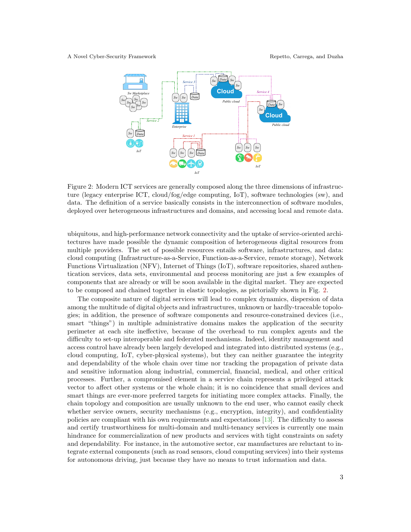

<span id="page-2-0"></span>Figure 2: Modern ICT services are generally composed along the three dimensions of infrastructure (legacy enterprise ICT, cloud/fog/edge computing, IoT), software technologies (sw), and data. The definition of a service basically consists in the interconnection of software modules, deployed over heterogeneous infrastructures and domains, and accessing local and remote data.

ubiquitous, and high-performance network connectivity and the uptake of service-oriented architectures have made possible the dynamic composition of heterogeneous digital resources from multiple providers. The set of possible resources entails software, infrastructures, and data: cloud computing (Infrastructure-as-a-Service, Function-as-a-Service, remote storage), Network Functions Virtualization (NFV), Internet of Things (IoT), software repositories, shared authentication services, data sets, environmental and process monitoring are just a few examples of components that are already or will be soon available in the digital market. They are expected to be composed and chained together in elastic topologies, as pictorially shown in Fig. [2.](#page-2-0)

The composite nature of digital services will lead to complex dynamics, dispersion of data among the multitude of digital objects and infrastructures, unknown or hardly-traceable topologies; in addition, the presence of software components and resource-constrained devices (i.e., smart "things") in multiple administrative domains makes the application of the security perimeter at each site ineffective, because of the overhead to run complex agents and the difficulty to set-up interoperable and federated mechanisms. Indeed, identity management and access control have already been largely developed and integrated into distributed systems (e.g., cloud computing, IoT, cyber-physical systems), but they can neither guarantee the integrity and dependability of the whole chain over time nor tracking the propagation of private data and sensitive information along industrial, commercial, financial, medical, and other critical processes. Further, a compromised element in a service chain represents a privileged attack vector to affect other systems or the whole chain; it is no coincidence that small devices and smart things are ever-more preferred targets for initiating more complex attacks. Finally, the chain topology and composition are usually unknown to the end user, who cannot easily check whether service owners, security mechanisms (e.g., encryption, integrity), and confidentiality policies are compliant with his own requirements and expectations [\[13\]](#page-10-2). The difficulty to assess and certify trustworthiness for multi-domain and multi-tenancy services is currently one main hindrance for commercialization of new products and services with tight constraints on safety and dependability. For instance, in the automotive sector, car manufactures are reluctant to integrate external components (such as road sensors, cloud computing services) into their systems for autonomous driving, just because they have no means to trust information and data.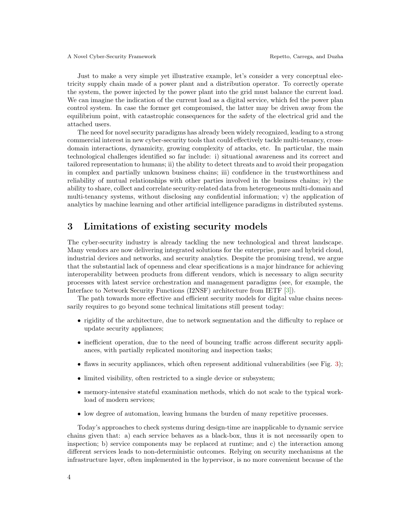Just to make a very simple yet illustrative example, let's consider a very conceptual electricity supply chain made of a power plant and a distribution operator. To correctly operate the system, the power injected by the power plant into the grid must balance the current load. We can imagine the indication of the current load as a digital service, which fed the power plan control system. In case the former get compromised, the latter may be driven away from the equilibrium point, with catastrophic consequences for the safety of the electrical grid and the attached users.

The need for novel security paradigms has already been widely recognized, leading to a strong commercial interest in new cyber-security tools that could effectively tackle multi-tenancy, crossdomain interactions, dynamicity, growing complexity of attacks, etc. In particular, the main technological challenges identified so far include: i) situational awareness and its correct and tailored representation to humans; ii) the ability to detect threats and to avoid their propagation in complex and partially unknown business chains; iii) confidence in the trustworthiness and reliability of mutual relationships with other parties involved in the business chains; iv) the ability to share, collect and correlate security-related data from heterogeneous multi-domain and multi-tenancy systems, without disclosing any confidential information; v) the application of analytics by machine learning and other artificial intelligence paradigms in distributed systems.

# <span id="page-3-0"></span>3 Limitations of existing security models

The cyber-security industry is already tackling the new technological and threat landscape. Many vendors are now delivering integrated solutions for the enterprise, pure and hybrid cloud, industrial devices and networks, and security analytics. Despite the promising trend, we argue that the substantial lack of openness and clear specifications is a major hindrance for achieving interoperability between products from different vendors, which is necessary to align security processes with latest service orchestration and management paradigms (see, for example, the Interface to Network Security Functions (I2NSF) architecture from IETF [\[3\]](#page-10-3)).

The path towards more effective and efficient security models for digital value chains necessarily requires to go beyond some technical limitations still present today:

- rigidity of the architecture, due to network segmentation and the difficulty to replace or update security appliances;
- inefficient operation, due to the need of bouncing traffic across different security appliances, with partially replicated monitoring and inspection tasks;
- $\bullet$  flaws in security appliances, which often represent additional vulnerabilities (see Fig. [3\)](#page-4-1);
- limited visibility, often restricted to a single device or subsystem;
- memory-intensive stateful examination methods, which do not scale to the typical workload of modern services;
- low degree of automation, leaving humans the burden of many repetitive processes.

Today's approaches to check systems during design-time are inapplicable to dynamic service chains given that: a) each service behaves as a black-box, thus it is not necessarily open to inspection; b) service components may be replaced at runtime; and c) the interaction among different services leads to non-deterministic outcomes. Relying on security mechanisms at the infrastructure layer, often implemented in the hypervisor, is no more convenient because of the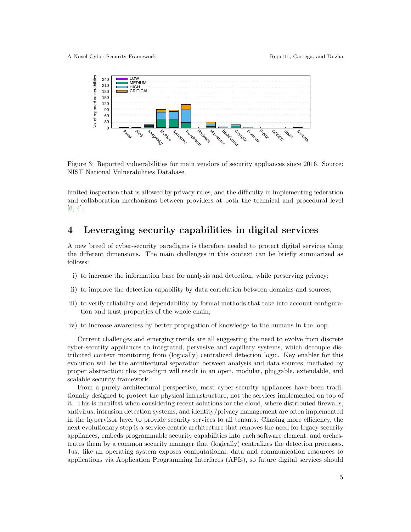

<span id="page-4-1"></span>Figure 3: Reported vulnerabilities for main vendors of security appliances since 2016. Source: NIST National Vulnerabilities Database.

limited inspection that is allowed by privacy rules, and the difficulty in implementing federation and collaboration mechanisms between providers at both the technical and procedural level [\[6,](#page-10-4) [4\]](#page-10-5).

# <span id="page-4-0"></span>4 Leveraging security capabilities in digital services

A new breed of cyber-security paradigms is therefore needed to protect digital services along the different dimensions. The main challenges in this context can be briefly summarized as follows:

- i) to increase the information base for analysis and detection, while preserving privacy;
- ii) to improve the detection capability by data correlation between domains and sources;
- iii) to verify reliability and dependability by formal methods that take into account configuration and trust properties of the whole chain;
- iv) to increase awareness by better propagation of knowledge to the humans in the loop.

Current challenges and emerging trends are all suggesting the need to evolve from discrete cyber-security appliances to integrated, pervasive and capillary systems, which decouple distributed context monitoring from (logically) centralized detection logic. Key enabler for this evolution will be the architectural separation between analysis and data sources, mediated by proper abstraction; this paradigm will result in an open, modular, pluggable, extendable, and scalable security framework.

From a purely architectural perspective, most cyber-security appliances have been traditionally designed to protect the physical infrastructure, not the services implemented on top of it. This is manifest when considering recent solutions for the cloud, where distributed firewalls, antivirus, intrusion detection systems, and identity/privacy management are often implemented in the hypervisor layer to provide security services to all tenants. Chasing more efficiency, the next evolutionary step is a service-centric architecture that removes the need for legacy security appliances, embeds programmable security capabilities into each software element, and orchestrates them by a common security manager that (logically) centralizes the detection processes. Just like an operating system exposes computational, data and communication resources to applications via Application Programming Interfaces (APIs), so future digital services should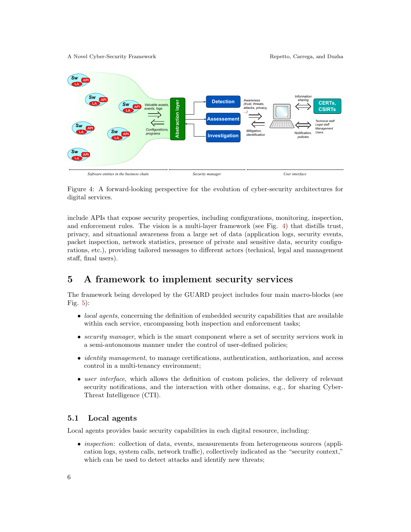A Novel Cyber-Security Framework Repetto, Carrega, and Duzha



<span id="page-5-1"></span>Figure 4: A forward-looking perspective for the evolution of cyber-security architectures for digital services.

include APIs that expose security properties, including configurations, monitoring, inspection, and enforcement rules. The vision is a multi-layer framework (see Fig. [4\)](#page-5-1) that distills trust, privacy, and situational awareness from a large set of data (application logs, security events, packet inspection, network statistics, presence of private and sensitive data, security configurations, etc.), providing tailored messages to different actors (technical, legal and management staff, final users).

# <span id="page-5-0"></span>5 A framework to implement security services

The framework being developed by the GUARD project includes four main macro-blocks (see Fig. [5\)](#page-6-0):

- *local agents*, concerning the definition of embedded security capabilities that are available within each service, encompassing both inspection and enforcement tasks;
- security manager, which is the smart component where a set of security services work in a semi-autonomous manner under the control of user-defined policies;
- *identity management*, to manage certifications, authentication, authorization, and access control in a multi-tenancy environment;
- user interface, which allows the definition of custom policies, the delivery of relevant security notifications, and the interaction with other domains, e.g., for sharing Cyber-Threat Intelligence (CTI).

### 5.1 Local agents

Local agents provides basic security capabilities in each digital resource, including:

• *inspection*: collection of data, events, measurements from heterogeneous sources (application logs, system calls, network traffic), collectively indicated as the "security context," which can be used to detect attacks and identify new threats;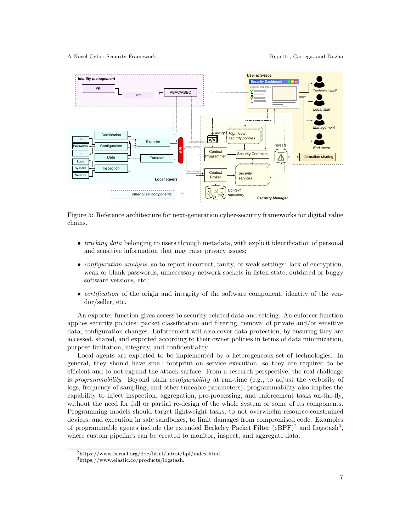

Figure 5: Reference architecture for next-generation cyber-security frameworks for digital value chains.

- <span id="page-6-0"></span>• tracking data belonging to users through metadata, with explicit identification of personal and sensitive information that may raise privacy issues;
- *configuration analysis*, so to report incorrect, faulty, or weak settings: lack of encryption, weak or blank passwords, unnecessary network sockets in listen state, outdated or buggy software versions, etc.;
- *certification* of the origin and integrity of the software component, identity of the vendor/seller, etc.

An exporter function gives access to security-related data and setting. An enforcer function applies security policies: packet classification and filtering, removal of private and/or sensitive data, configuration changes. Enforcement will also cover data protection, by ensuring they are accessed, shared, and exported according to their owner policies in terms of data minimization, purpose limitation, integrity, and confidentiality.

Local agents are expected to be implemented by a heterogeneous set of technologies. In general, they should have small footprint on service execution, so they are required to be efficient and to not expand the attack surface. From a research perspective, the real challenge is programmability. Beyond plain configurability at run-time (e.g., to adjust the verbosity of logs, frequency of sampling, and other tuneable parameters), programmability also implies the capability to inject inspection, aggregation, pre-processing, and enforcement tasks on-the-fly, without the need for full or partial re-design of the whole system or some of its components. Programming models should target lightweight tasks, to not overwhelm resource-constrained devices, and execution in safe sandboxes, to limit damages from compromised code. Examples of programmable agents include the extended Berkeley Packet Filter  $(eBPF)^2$  $(eBPF)^2$  and Logstash<sup>[3](#page-6-2)</sup>, where custom pipelines can be created to monitor, inspect, and aggregate data.

<sup>2</sup>https://www.kernel.org/doc/html/latest/bpf/index.html.

<span id="page-6-2"></span><span id="page-6-1"></span> $^3\rm{https://www.elastic.co/products/logstash.}$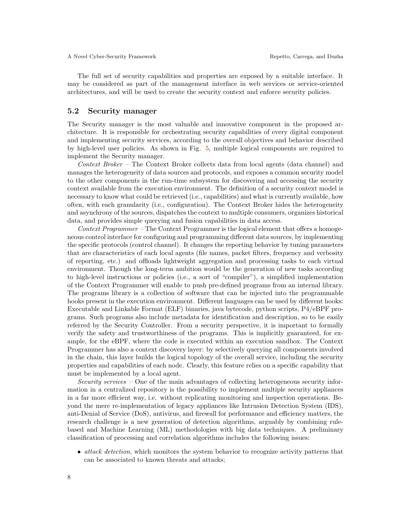The full set of security capabilities and properties are exposed by a suitable interface. It may be considered as part of the management interface in web services or service-oriented architectures, and will be used to create the security context and enforce security policies.

### 5.2 Security manager

The Security manager is the most valuable and innovative component in the proposed architecture. It is responsible for orchestrating security capabilities of every digital component and implementing security services, according to the overall objectives and behavior described by high-level user policies. As shown in Fig. [5,](#page-6-0) multiple logical components are required to implement the Security manager.

Context Broker – The Context Broker collects data from local agents (data channel) and manages the heterogeneity of data sources and protocols, and exposes a common security model to the other components in the run-time subsystem for discovering and accessing the security context available from the execution environment. The definition of a security context model is necessary to know what could be retrieved (i.e., capabilities) and what is currently available, how often, with each granularity (i.e., configuration). The Context Broker hides the heterogeneity and asynchrony of the sources, dispatches the context to multiple consumers, organizes historical data, and provides simple querying and fusion capabilities in data access.

 $Context$   $Programmer - The Context$   $Programmer$  is the logical element that offers a homogeneous control interface for configuring and programming different data sources, by implementing the specific protocols (control channel). It changes the reporting behavior by tuning parameters that are characteristics of each local agents (file names, packet filters, frequency and verbosity of reporting, etc.) and offloads lightweight aggregation and processing tasks to each virtual environment. Though the long-term ambition would be the generation of new tasks according to high-level instructions or policies (i.e., a sort of "compiler"), a simplified implementation of the Context Programmer will enable to push pre-defined programs from an internal library. The programs library is a collection of software that can be injected into the programmable hooks present in the execution environment. Different languages can be used by different hooks: Executable and Linkable Format (ELF) binaries, java bytecode, python scripts, P4/eBPF programs. Such programs also include metadata for identification and description, so to be easily referred by the Security Controller. From a security perspective, it is important to formally verify the safety and trustworthiness of the programs. This is implicitly guaranteed, for example, for the eBPF, where the code is executed within an execution sandbox. The Context Programmer has also a context discovery layer: by selectively querying all components involved in the chain, this layer builds the logical topology of the overall service, including the security properties and capabilities of each node. Clearly, this feature relies on a specific capability that must be implemented by a local agent.

Security services – One of the main advantages of collecting heterogeneous security information in a centralized repository is the possibility to implement multiple security appliances in a far more efficient way, i.e. without replicating monitoring and inspection operations. Beyond the mere re-implementation of legacy appliances like Intrusion Detection System (IDS), anti-Denial of Service (DoS), antivirus, and firewall for performance and efficiency matters, the research challenge is a new generation of detection algorithms, arguably by combining rulebased and Machine Learning (ML) methodologies with big data techniques. A preliminary classification of processing and correlation algorithms includes the following issues:

• *attack detection*, which monitors the system behavior to recognize activity patterns that can be associated to known threats and attacks;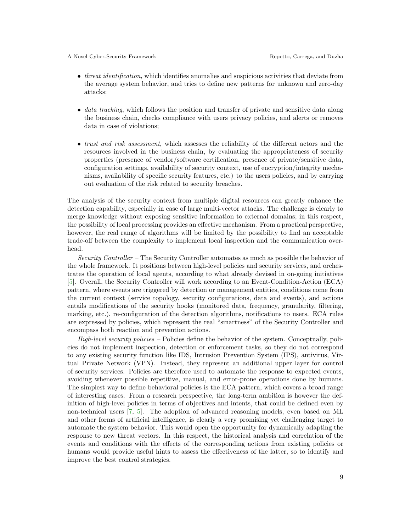- *threat identification*, which identifies anomalies and suspicious activities that deviate from the average system behavior, and tries to define new patterns for unknown and zero-day attacks;
- *data tracking*, which follows the position and transfer of private and sensitive data along the business chain, checks compliance with users privacy policies, and alerts or removes data in case of violations;
- *trust and risk assessment*, which assesses the reliability of the different actors and the resources involved in the business chain, by evaluating the appropriateness of security properties (presence of vendor/software certification, presence of private/sensitive data, configuration settings, availability of security context, use of encryption/integrity mechanisms, availability of specific security features, etc.) to the users policies, and by carrying out evaluation of the risk related to security breaches.

The analysis of the security context from multiple digital resources can greatly enhance the detection capability, especially in case of large multi-vector attacks. The challenge is clearly to merge knowledge without exposing sensitive information to external domains; in this respect, the possibility of local processing provides an effective mechanism. From a practical perspective, however, the real range of algorithms will be limited by the possibility to find an acceptable trade-off between the complexity to implement local inspection and the communication overhead.

Security Controller – The Security Controller automates as much as possible the behavior of the whole framework. It positions between high-level policies and security services, and orchestrates the operation of local agents, according to what already devised in on-going initiatives [\[5\]](#page-10-6). Overall, the Security Controller will work according to an Event-Condition-Action (ECA) pattern, where events are triggered by detection or management entities, conditions come from the current context (service topology, security configurations, data and events), and actions entails modifications of the security hooks (monitored data, frequency, granularity, filtering, marking, etc.), re-configuration of the detection algorithms, notifications to users. ECA rules are expressed by policies, which represent the real "smartness" of the Security Controller and encompass both reaction and prevention actions.

High-level security policies – Policies define the behavior of the system. Conceptually, policies do not implement inspection, detection or enforcement tasks, so they do not correspond to any existing security function like IDS, Intrusion Prevention System (IPS), antivirus, Virtual Private Network (VPN). Instead, they represent an additional upper layer for control of security services. Policies are therefore used to automate the response to expected events, avoiding whenever possible repetitive, manual, and error-prone operations done by humans. The simplest way to define behavioral policies is the ECA pattern, which covers a broad range of interesting cases. From a research perspective, the long-term ambition is however the definition of high-level policies in terms of objectives and intents, that could be defined even by non-technical users [\[7,](#page-10-7) [5\]](#page-10-6). The adoption of advanced reasoning models, even based on ML and other forms of artificial intelligence, is clearly a very promising yet challenging target to automate the system behavior. This would open the opportunity for dynamically adapting the response to new threat vectors. In this respect, the historical analysis and correlation of the events and conditions with the effects of the corresponding actions from existing policies or humans would provide useful hints to assess the effectiveness of the latter, so to identify and improve the best control strategies.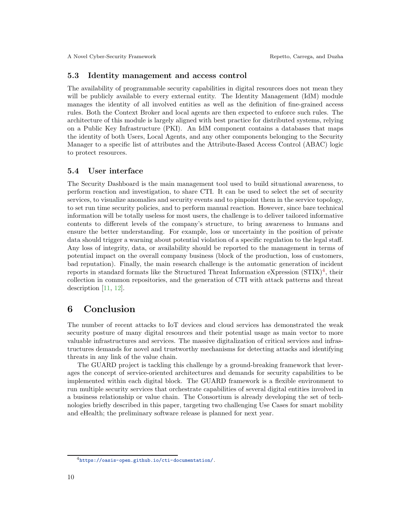### 5.3 Identity management and access control

The availability of programmable security capabilities in digital resources does not mean they will be publicly available to every external entity. The Identity Management (IdM) module manages the identity of all involved entities as well as the definition of fine-grained access rules. Both the Context Broker and local agents are then expected to enforce such rules. The architecture of this module is largely aligned with best practice for distributed systems, relying on a Public Key Infrastructure (PKI). An IdM component contains a databases that maps the identity of both Users, Local Agents, and any other components belonging to the Security Manager to a specific list of attributes and the Attribute-Based Access Control (ABAC) logic to protect resources.

### 5.4 User interface

The Security Dashboard is the main management tool used to build situational awareness, to perform reaction and investigation, to share CTI. It can be used to select the set of security services, to visualize anomalies and security events and to pinpoint them in the service topology, to set run time security policies, and to perform manual reaction. However, since bare technical information will be totally useless for most users, the challenge is to deliver tailored informative contents to different levels of the company's structure, to bring awareness to humans and ensure the better understanding. For example, loss or uncertainty in the position of private data should trigger a warning about potential violation of a specific regulation to the legal staff. Any loss of integrity, data, or availability should be reported to the management in terms of potential impact on the overall company business (block of the production, loss of customers, bad reputation). Finally, the main research challenge is the automatic generation of incident reports in standard formats like the Structured Threat Information eXpression  $(STIX)<sup>4</sup>$  $(STIX)<sup>4</sup>$  $(STIX)<sup>4</sup>$ , their collection in common repositories, and the generation of CTI with attack patterns and threat description [\[11,](#page-10-8) [12\]](#page-10-9).

### <span id="page-9-0"></span>6 Conclusion

The number of recent attacks to IoT devices and cloud services has demonstrated the weak security posture of many digital resources and their potential usage as main vector to more valuable infrastructures and services. The massive digitalization of critical services and infrastructures demands for novel and trustworthy mechanisms for detecting attacks and identifying threats in any link of the value chain.

The GUARD project is tackling this challenge by a ground-breaking framework that leverages the concept of service-oriented architectures and demands for security capabilities to be implemented within each digital block. The GUARD framework is a flexible environment to run multiple security services that orchestrate capabilities of several digital entities involved in a business relationship or value chain. The Consortium is already developing the set of technologies briefly described in this paper, targeting two challenging Use Cases for smart mobility and eHealth; the preliminary software release is planned for next year.

<span id="page-9-1"></span><sup>4</sup><https://oasis-open.github.io/cti-documentation/>.